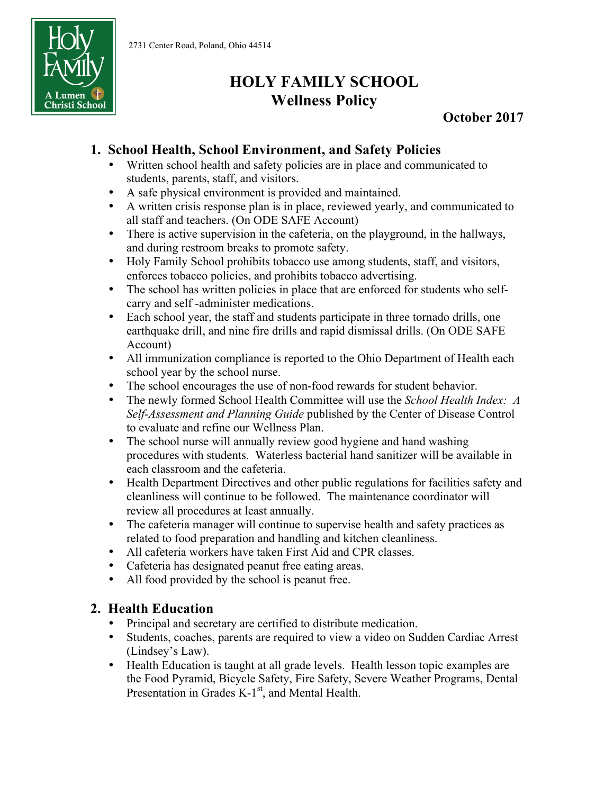

# **HOLY FAMILY SCHOOL Wellness Policy**

**October 2017**

## **1. School Health, School Environment, and Safety Policies**

- Written school health and safety policies are in place and communicated to students, parents, staff, and visitors.
- A safe physical environment is provided and maintained.
- A written crisis response plan is in place, reviewed yearly, and communicated to all staff and teachers. (On ODE SAFE Account)
- There is active supervision in the cafeteria, on the playground, in the hallways, and during restroom breaks to promote safety.
- Holy Family School prohibits tobacco use among students, staff, and visitors, enforces tobacco policies, and prohibits tobacco advertising.
- The school has written policies in place that are enforced for students who selfcarry and self -administer medications.
- Each school year, the staff and students participate in three tornado drills, one earthquake drill, and nine fire drills and rapid dismissal drills. (On ODE SAFE Account)
- All immunization compliance is reported to the Ohio Department of Health each school year by the school nurse.
- The school encourages the use of non-food rewards for student behavior.
- The newly formed School Health Committee will use the *School Health Index: A Self-Assessment and Planning Guide* published by the Center of Disease Control to evaluate and refine our Wellness Plan.
- The school nurse will annually review good hygiene and hand washing procedures with students. Waterless bacterial hand sanitizer will be available in each classroom and the cafeteria.
- Health Department Directives and other public regulations for facilities safety and cleanliness will continue to be followed. The maintenance coordinator will review all procedures at least annually.
- The cafeteria manager will continue to supervise health and safety practices as related to food preparation and handling and kitchen cleanliness.
- All cafeteria workers have taken First Aid and CPR classes.
- Cafeteria has designated peanut free eating areas.
- All food provided by the school is peanut free.

#### **2. Health Education**

- Principal and secretary are certified to distribute medication.
- Students, coaches, parents are required to view a video on Sudden Cardiac Arrest (Lindsey's Law).
- Health Education is taught at all grade levels. Health lesson topic examples are the Food Pyramid, Bicycle Safety, Fire Safety, Severe Weather Programs, Dental Presentation in Grades K-1<sup>st</sup>, and Mental Health.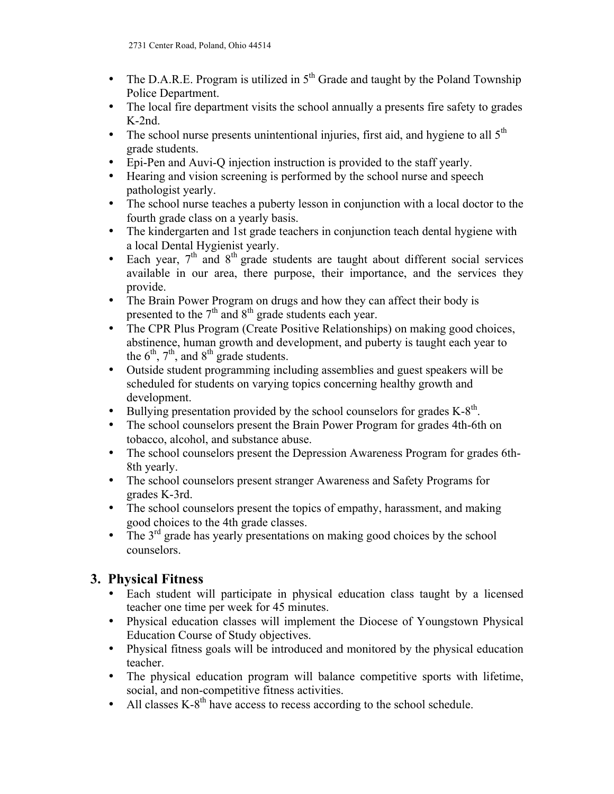- The D.A.R.E. Program is utilized in  $5<sup>th</sup>$  Grade and taught by the Poland Township Police Department.
- The local fire department visits the school annually a presents fire safety to grades K-2nd.
- The school nurse presents unintentional injuries, first aid, and hygiene to all  $5<sup>th</sup>$ grade students.
- Epi-Pen and Auvi-Q injection instruction is provided to the staff yearly.
- Hearing and vision screening is performed by the school nurse and speech pathologist yearly.
- The school nurse teaches a puberty lesson in conjunction with a local doctor to the fourth grade class on a yearly basis.
- The kindergarten and 1st grade teachers in conjunction teach dental hygiene with a local Dental Hygienist yearly.
- Each year,  $7<sup>th</sup>$  and  $8<sup>th</sup>$  grade students are taught about different social services available in our area, there purpose, their importance, and the services they provide.
- The Brain Power Program on drugs and how they can affect their body is presented to the  $7<sup>th</sup>$  and  $8<sup>th</sup>$  grade students each year.
- The CPR Plus Program (Create Positive Relationships) on making good choices, abstinence, human growth and development, and puberty is taught each year to the  $6<sup>th</sup>$ ,  $7<sup>th</sup>$ , and  $8<sup>th</sup>$  grade students.
- Outside student programming including assemblies and guest speakers will be scheduled for students on varying topics concerning healthy growth and development.
- Bullying presentation provided by the school counselors for grades  $K-8<sup>th</sup>$ .
- The school counselors present the Brain Power Program for grades 4th-6th on tobacco, alcohol, and substance abuse.
- The school counselors present the Depression Awareness Program for grades 6th-8th yearly.
- The school counselors present stranger Awareness and Safety Programs for grades K-3rd.
- The school counselors present the topics of empathy, harassment, and making good choices to the 4th grade classes.
- The  $3<sup>rd</sup>$  grade has yearly presentations on making good choices by the school counselors.

## **3. Physical Fitness**

- Each student will participate in physical education class taught by a licensed teacher one time per week for 45 minutes.
- Physical education classes will implement the Diocese of Youngstown Physical Education Course of Study objectives.
- Physical fitness goals will be introduced and monitored by the physical education teacher.
- The physical education program will balance competitive sports with lifetime, social, and non-competitive fitness activities.
- All classes  $K-8<sup>th</sup>$  have access to recess according to the school schedule.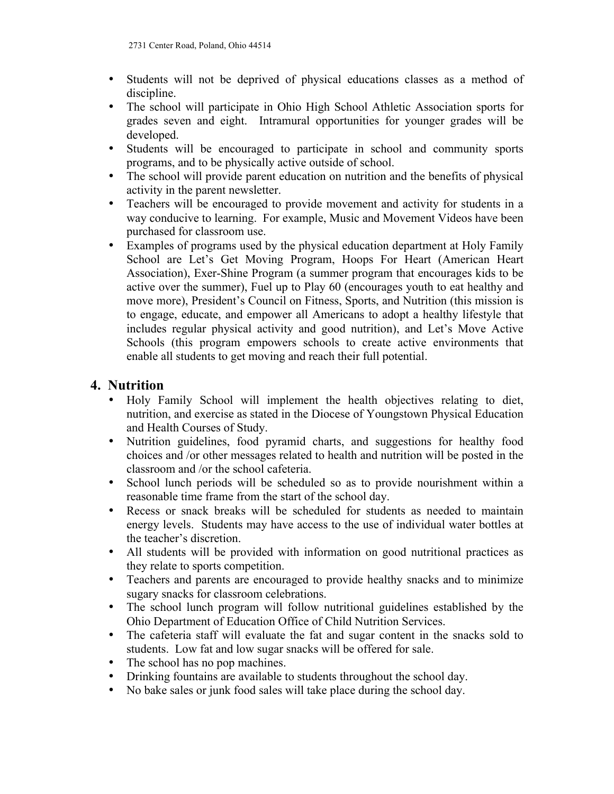- Students will not be deprived of physical educations classes as a method of discipline.
- The school will participate in Ohio High School Athletic Association sports for grades seven and eight. Intramural opportunities for younger grades will be developed.
- Students will be encouraged to participate in school and community sports programs, and to be physically active outside of school.
- The school will provide parent education on nutrition and the benefits of physical activity in the parent newsletter.
- Teachers will be encouraged to provide movement and activity for students in a way conducive to learning. For example, Music and Movement Videos have been purchased for classroom use.
- Examples of programs used by the physical education department at Holy Family School are Let's Get Moving Program, Hoops For Heart (American Heart Association), Exer-Shine Program (a summer program that encourages kids to be active over the summer), Fuel up to Play 60 (encourages youth to eat healthy and move more), President's Council on Fitness, Sports, and Nutrition (this mission is to engage, educate, and empower all Americans to adopt a healthy lifestyle that includes regular physical activity and good nutrition), and Let's Move Active Schools (this program empowers schools to create active environments that enable all students to get moving and reach their full potential.

#### **4. Nutrition**

- Holy Family School will implement the health objectives relating to diet, nutrition, and exercise as stated in the Diocese of Youngstown Physical Education and Health Courses of Study.
- Nutrition guidelines, food pyramid charts, and suggestions for healthy food choices and /or other messages related to health and nutrition will be posted in the classroom and /or the school cafeteria.
- School lunch periods will be scheduled so as to provide nourishment within a reasonable time frame from the start of the school day.
- Recess or snack breaks will be scheduled for students as needed to maintain energy levels. Students may have access to the use of individual water bottles at the teacher's discretion.
- All students will be provided with information on good nutritional practices as they relate to sports competition.
- Teachers and parents are encouraged to provide healthy snacks and to minimize sugary snacks for classroom celebrations.
- The school lunch program will follow nutritional guidelines established by the Ohio Department of Education Office of Child Nutrition Services.
- The cafeteria staff will evaluate the fat and sugar content in the snacks sold to students. Low fat and low sugar snacks will be offered for sale.
- The school has no pop machines.
- Drinking fountains are available to students throughout the school day.
- No bake sales or junk food sales will take place during the school day.